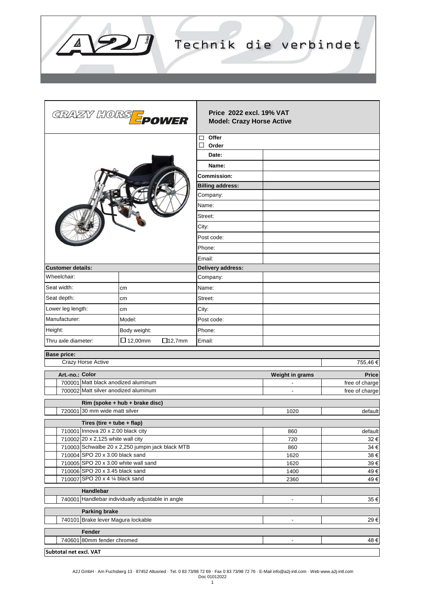

|                                                                                                   | GRAZY HORS <mark>=</mark> power | <b>Price 2022 excl. 19% VAT</b><br><b>Model: Crazy Horse Active</b> |                 |                |  |
|---------------------------------------------------------------------------------------------------|---------------------------------|---------------------------------------------------------------------|-----------------|----------------|--|
|                                                                                                   |                                 | $\Box$ Offer                                                        |                 |                |  |
|                                                                                                   |                                 | $\Box$<br>Order                                                     |                 |                |  |
|                                                                                                   |                                 | Date:                                                               |                 |                |  |
|                                                                                                   |                                 | Name:                                                               |                 |                |  |
|                                                                                                   |                                 | <b>Commission:</b>                                                  |                 |                |  |
|                                                                                                   |                                 | <b>Billing address:</b>                                             |                 |                |  |
|                                                                                                   |                                 | Company:                                                            |                 |                |  |
|                                                                                                   |                                 | Name:                                                               |                 |                |  |
|                                                                                                   |                                 | Street:                                                             |                 |                |  |
|                                                                                                   |                                 | City:                                                               |                 |                |  |
|                                                                                                   |                                 | Post code:                                                          |                 |                |  |
|                                                                                                   |                                 | Phone:                                                              |                 |                |  |
|                                                                                                   |                                 | Email:                                                              |                 |                |  |
| <b>Customer details:</b>                                                                          |                                 | Delivery address:                                                   |                 |                |  |
| Wheelchair:                                                                                       |                                 | Company:                                                            |                 |                |  |
| Seat width:                                                                                       | cm                              | Name:                                                               |                 |                |  |
| Seat depth:                                                                                       | cm                              | Street:                                                             |                 |                |  |
| Lower leg length:                                                                                 | cm                              | City:                                                               |                 |                |  |
| Manufacturer:                                                                                     | Model:                          | Post code:                                                          |                 |                |  |
|                                                                                                   |                                 |                                                                     |                 |                |  |
| Height:                                                                                           | Body weight:                    | Phone:                                                              |                 |                |  |
| Thru axle diameter:                                                                               | $\Box$ 12,00mm<br>$\Box$ 12,7mm | Email:                                                              |                 |                |  |
| <b>Base price:</b>                                                                                |                                 |                                                                     |                 |                |  |
| Crazy Horse Active                                                                                |                                 |                                                                     |                 | 755,46€        |  |
| Art.-no.: Color                                                                                   |                                 |                                                                     | Weight in grams | Price          |  |
| 700001 Matt black anodized aluminum                                                               |                                 |                                                                     |                 | free of charge |  |
| 700002 Matt silver anodized aluminum                                                              |                                 |                                                                     |                 | free of charge |  |
|                                                                                                   | Rim (spoke + hub + brake disc)  |                                                                     |                 |                |  |
| 720001 30 mm wide matt silver                                                                     |                                 |                                                                     | 1020            | default        |  |
| Tires (tire + tube + flap)                                                                        |                                 |                                                                     |                 |                |  |
| 710001 Innova 20 x 2.00 black city                                                                |                                 |                                                                     | 860             | default        |  |
| 710002 20 x 2,125 white wall city                                                                 |                                 |                                                                     | 720             | 32 €           |  |
| 710003 Schwalbe 20 x 2,250 jumpin jack black MTB                                                  |                                 | 860                                                                 | 34 €            |                |  |
| 710004 SPO 20 x 3.00 black sand                                                                   |                                 |                                                                     | 1620            | 38€            |  |
| 710005 SPO 20 x 3.00 white wall sand<br>710006 SPO 20 x 3.45 black sand                           |                                 |                                                                     | 1620            | 39€            |  |
| 710007 SPO 20 x 4 1/4 black sand                                                                  |                                 |                                                                     | 1400<br>2360    | 49€<br>49€     |  |
|                                                                                                   |                                 |                                                                     |                 |                |  |
| Handlebar<br>740001 Handlebar individually adjustable in angle<br>35€<br>$\overline{\phantom{a}}$ |                                 |                                                                     |                 |                |  |
| <b>Parking brake</b>                                                                              |                                 |                                                                     |                 |                |  |
| 740101 Brake lever Magura lockable<br>29€<br>$\overline{\phantom{a}}$                             |                                 |                                                                     |                 |                |  |
| Fender                                                                                            |                                 |                                                                     |                 |                |  |
| 740601 80mm fender chromed<br>48€                                                                 |                                 |                                                                     |                 |                |  |
|                                                                                                   |                                 |                                                                     |                 |                |  |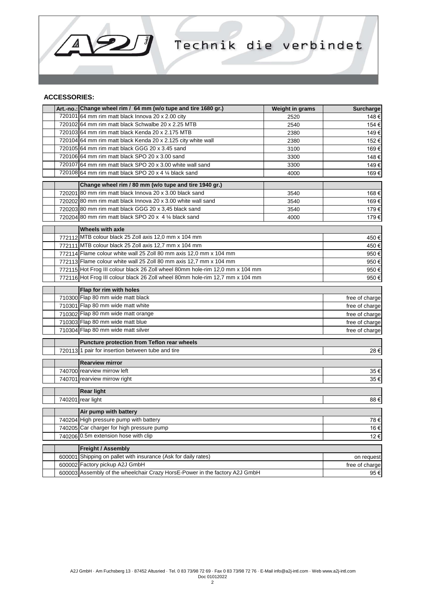

## **ACCESSORIES:**

 $\Delta$ 

 $\overline{\phantom{a}}$ 

|        | Art.-no.: Change wheel rim / 64 mm (w/o tupe and tire 1680 gr.)               | Weight in grams                  | Surcharge      |  |  |
|--------|-------------------------------------------------------------------------------|----------------------------------|----------------|--|--|
|        | 720101 64 mm rim matt black Innova 20 x 2.00 city                             | 2520                             | 148€           |  |  |
|        | 720102 64 mm rim matt black Schwalbe 20 x 2.25 MTB                            | 2540                             | 154 €          |  |  |
|        | 720103 64 mm rim matt black Kenda 20 x 2.175 MTB                              | 2380                             | 149€           |  |  |
|        | 720104 64 mm rim matt black Kenda 20 x 2.125 city white wall                  | 2380                             | 152€           |  |  |
|        | 720105 64 mm rim matt black GGG 20 x 3.45 sand                                | 3100                             | 169€           |  |  |
|        | 720106 64 mm rim matt black SPO 20 x 3.00 sand                                | 3300                             | 148€           |  |  |
|        | 720107 64 mm rim matt black SPO 20 x 3.00 white wall sand                     | 3300                             | 149€           |  |  |
|        | 720108 64 mm rim matt black SPO 20 x 4 $\frac{1}{4}$ black sand               | 4000                             | 169€           |  |  |
|        | Change wheel rim / 80 mm (w/o tupe and tire 1940 gr.)                         |                                  |                |  |  |
|        | 720201 80 mm rim matt black Innova 20 x 3.00 black sand                       | 3540                             | 168€           |  |  |
|        | 720202 80 mm rim matt black Innova 20 x 3.00 white wall sand                  | 3540                             | 169€           |  |  |
|        | 720203 80 mm rim matt black GGG 20 x 3,45 black sand                          | 3540                             | 179€           |  |  |
|        | 720204 80 mm rim matt black SPO 20 x $4\frac{1}{4}$ black sand                | 4000                             | 179€           |  |  |
|        | <b>Wheels with axle</b>                                                       |                                  |                |  |  |
|        | 772112 MTB colour black 25 Zoll axis 12,0 mm x 104 mm                         |                                  | 450€           |  |  |
|        | 772111 MTB colour black 25 Zoll axis 12,7 mm x 104 mm                         |                                  |                |  |  |
|        | 772114 Flame colour white wall 25 Zoll 80 mm axis 12,0 mm x 104 mm            |                                  |                |  |  |
|        | 772113 Flame colour white wall 25 Zoll 80 mm axis 12,7 mm x 104 mm            |                                  |                |  |  |
|        | 772115 Hot Frog III colour black 26 Zoll wheel 80mm hole-rim 12,0 mm x 104 mm |                                  |                |  |  |
|        | 772116 Hot Frog III colour black 26 Zoll wheel 80mm hole-rim 12,7 mm x 104 mm |                                  |                |  |  |
|        |                                                                               |                                  | 950€           |  |  |
|        | Flap for rim with holes<br>710300 Flap 80 mm wide matt black                  |                                  |                |  |  |
|        | 710301 Flap 80 mm wide matt white                                             |                                  | free of charge |  |  |
|        | 710302 Flap 80 mm wide matt orange                                            | free of charge<br>free of charge |                |  |  |
|        | 710303 Flap 80 mm wide matt blue                                              | free of charge                   |                |  |  |
|        | 710304 Flap 80 mm wide matt silver                                            | free of charge                   |                |  |  |
|        |                                                                               |                                  |                |  |  |
|        | <b>Puncture protection from Teflon rear wheels</b>                            |                                  |                |  |  |
|        | 720113 1 pair for insertion between tube and tire                             |                                  | 28€            |  |  |
|        | <b>Rearview mirror</b>                                                        |                                  |                |  |  |
|        | 740700 rearview mirrow left                                                   | 35€                              |                |  |  |
|        | 740701 rearview mirrow right                                                  | 35€                              |                |  |  |
|        | <b>Rear light</b>                                                             |                                  |                |  |  |
|        | 740201 rear light                                                             |                                  | 88€            |  |  |
|        |                                                                               |                                  |                |  |  |
|        | Air pump with battery                                                         |                                  |                |  |  |
|        | 740204 High pressure pump with battery                                        | 78€                              |                |  |  |
|        | 740205 Car charger for high pressure pump                                     | 16 €                             |                |  |  |
|        | 740206 0.5m extension hose with clip<br>12€                                   |                                  |                |  |  |
|        | Freight / Assembly                                                            |                                  |                |  |  |
| 600001 | Shipping on pallet with insurance (Ask for daily rates)<br>on request         |                                  |                |  |  |
|        | 600002 Factory pickup A2J GmbH                                                | free of charge                   |                |  |  |
|        | 600003 Assembly of the wheelchair Crazy HorsE-Power in the factory A2J GmbH   |                                  |                |  |  |